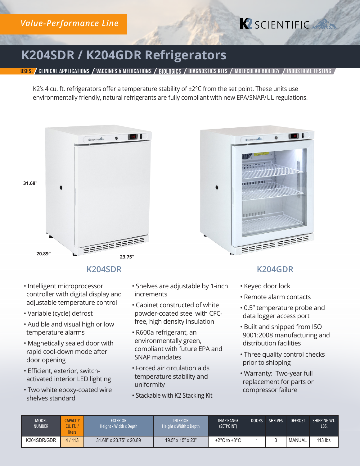# **K** SCIENTIFIC

B so B

# **K204SDR / K204GDR Refrigerators**

USES: / CLINICAL APPLICATIONS / VACCINES & MEDICATIONS / BIOLOGICS / DIAGNOSTICS KITS / MOLECULAR BIOLOG

K2's 4 cu. ft. refrigerators offer a temperature stability of  $\pm 2^{\circ}$ C from the set point. These units use environmentally friendly, natural refrigerants are fully compliant with new EPA/SNAP/UL regulations.





- Intelligent microprocessor controller with digital display and adjustable temperature control
- Variable (cycle) defrost
- Audible and visual high or low temperature alarms
- Magnetically sealed door with rapid cool-down mode after door opening
- Efficient, exterior, switchactivated interior LED lighting
- Two white epoxy-coated wire shelves standard
- Shelves are adjustable by 1-inch increments
- Cabinet constructed of white powder-coated steel with CFCfree, high density insulation
- R600a refrigerant, an environmentally green, compliant with future EPA and SNAP mandates
- Forced air circulation aids temperature stability and uniformity
- Stackable with K2 Stacking Kit

#### **K204SDR K204GDR**

**REBERIERE** 

• Keyed door lock

**ESCIENTIFICATION** 

animini

**UNITED IN** 

**ANTIHALISM** 

- Remote alarm contacts
- 0.5" temperature probe and data logger access port
- Built and shipped from ISO 9001:2008 manufacturing and distribution facilities
- Three quality control checks prior to shipping
- Warranty: Two-year full replacement for parts or compressor failure

| <b>MODEL</b><br><b>NUMBER</b> | <b>APACITY</b><br>Cu. Ft. I<br>liters | <b>EXTERIOR</b><br>Height x Width x Depth | <b>INTERIOR</b><br>Height x Width x Depth | <b>TEMP RANGE</b><br>(SETPOINT)  | <b>DOORS</b> | <b>SHELVES</b> | <b>DEFROST</b> | SHIPPING WT.<br>LBS. |
|-------------------------------|---------------------------------------|-------------------------------------------|-------------------------------------------|----------------------------------|--------------|----------------|----------------|----------------------|
| K204SDR/GDR                   | 4/113                                 | 31.68" x 23.75" x 20.89                   | $19.5$ " x $15$ " x $23$ "                | $+2^{\circ}$ C to $+8^{\circ}$ C |              |                | <b>MANUAL</b>  | $113$ lbs            |